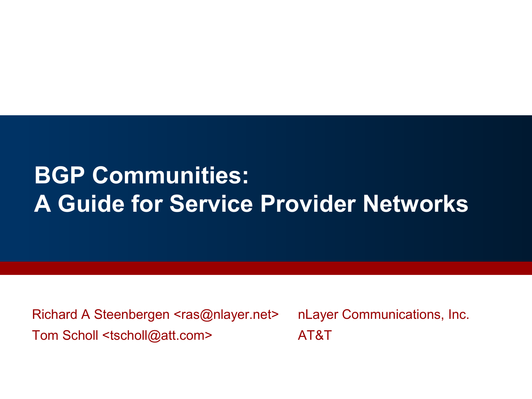# **BGP Communities: A Guide for Service Provider Networks**

Richard A Steenbergen <ras@nlayer.net> nLayer Communications, Inc. Tom Scholl <tscholl@att.com>
AT&T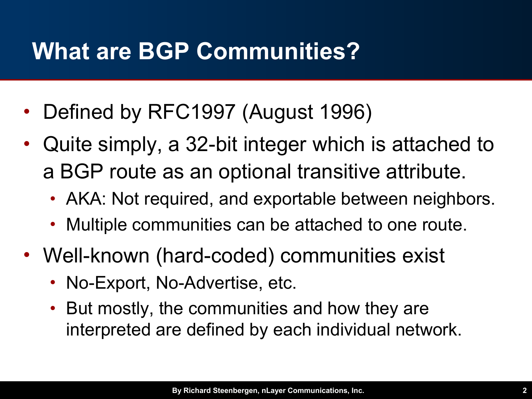## **What are BGP Communities?**

- Defined by RFC1997 (August 1996)
- Quite simply, a 32-bit integer which is attached to a BGP route as an optional transitive attribute.
	- AKA: Not required, and exportable between neighbors.
	- Multiple communities can be attached to one route.
- Well-known (hard-coded) communities exist
	- No-Export, No-Advertise, etc.
	- But mostly, the communities and how they are interpreted are defined by each individual network.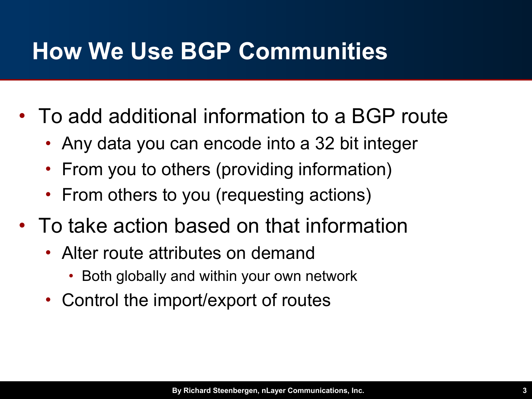## **How We Use BGP Communities**

- To add additional information to a BGP route
	- Any data you can encode into a 32 bit integer
	- From you to others (providing information)
	- From others to you (requesting actions)
- To take action based on that information
	- Alter route attributes on demand
		- Both globally and within your own network
	- Control the import/export of routes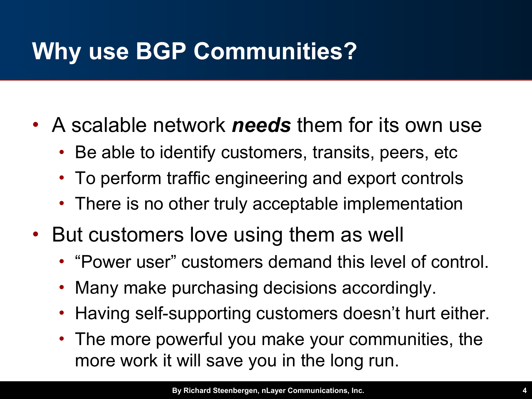# **Why use BGP Communities?**

- A scalable network *needs* them for its own use
	- Be able to identify customers, transits, peers, etc
	- To perform traffic engineering and export controls
	- There is no other truly acceptable implementation
- But customers love using them as well
	- "Power user" customers demand this level of control.
	- Many make purchasing decisions accordingly.
	- Having self-supporting customers doesn't hurt either.
	- The more powerful you make your communities, the more work it will save you in the long run.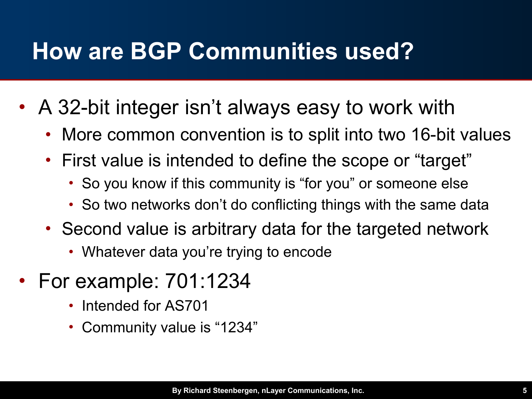## **How are BGP Communities used?**

- A 32-bit integer isn't always easy to work with
	- More common convention is to split into two 16-bit values
	- First value is intended to define the scope or "target"
		- So you know if this community is "for you" or someone else
		- So two networks don't do conflicting things with the same data
	- Second value is arbitrary data for the targeted network
		- Whatever data you're trying to encode
- For example: 701:1234
	- Intended for AS701
	- Community value is "1234"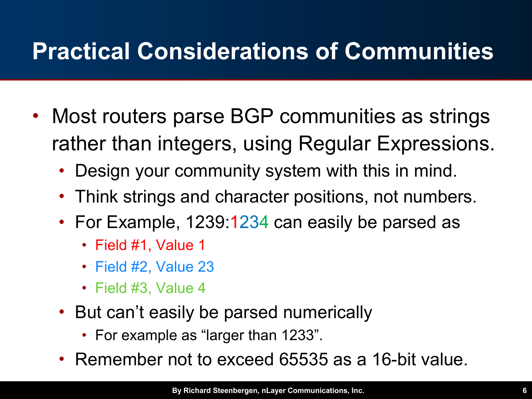# **Practical Considerations of Communities**

- Most routers parse BGP communities as strings rather than integers, using Regular Expressions.
	- Design your community system with this in mind.
	- Think strings and character positions, not numbers.
	- For Example, 1239:1234 can easily be parsed as
		- Field #1, Value 1
		- Field #2, Value 23
		- Field #3, Value 4
	- But can't easily be parsed numerically
		- For example as "larger than 1233".
	- Remember not to exceed 65535 as a 16-bit value.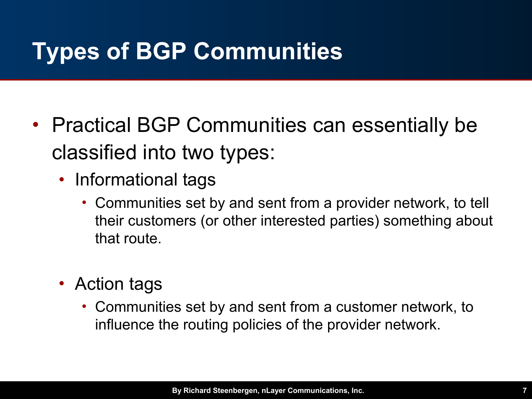# **Types of BGP Communities**

- Practical BGP Communities can essentially be classified into two types:
	- Informational tags
		- Communities set by and sent from a provider network, to tell their customers (or other interested parties) something about that route.
	- Action tags
		- Communities set by and sent from a customer network, to influence the routing policies of the provider network.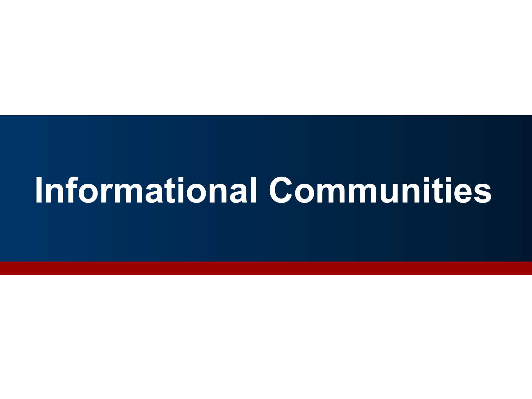# **Informational Communities**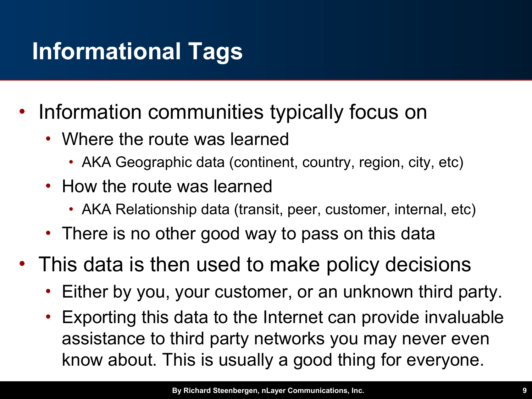# **Informational Tags**

- Information communities typically focus on
	- Where the route was learned
		- AKA Geographic data (continent, country, region, city, etc)
	- How the route was learned
		- AKA Relationship data (transit, peer, customer, internal, etc)
	- There is no other good way to pass on this data
- This data is then used to make policy decisions
	- Either by you, your customer, or an unknown third party.
	- Exporting this data to the Internet can provide invaluable assistance to third party networks you may never even know about. This is usually a good thing for everyone.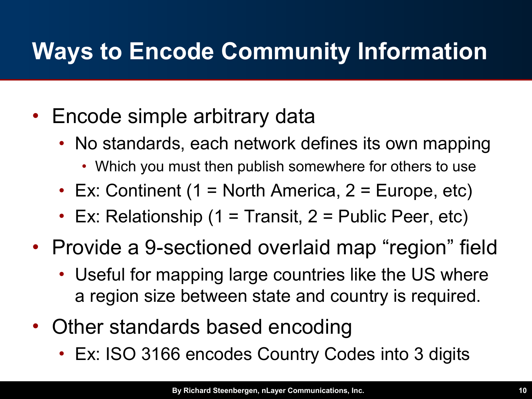# **Ways to Encode Community Information**

- Encode simple arbitrary data
	- No standards, each network defines its own mapping
		- Which you must then publish somewhere for others to use
	- Ex: Continent (1 = North America, 2 = Europe, etc)
	- Ex: Relationship (1 = Transit,  $2$  = Public Peer, etc)
- Provide a 9-sectioned overlaid map "region" field
	- Useful for mapping large countries like the US where a region size between state and country is required.
- Other standards based encoding
	- Ex: ISO 3166 encodes Country Codes into 3 digits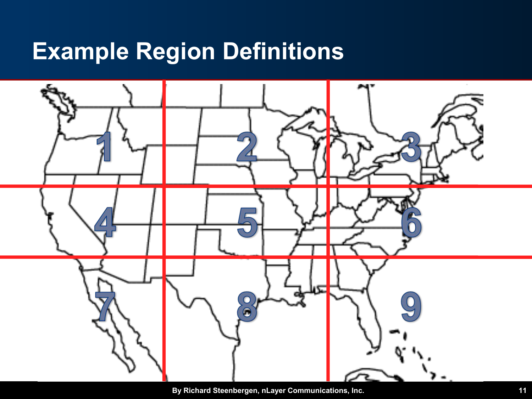## **Example Region Definitions**



**By Richard Steenbergen, nLayer Communications, Inc. 11**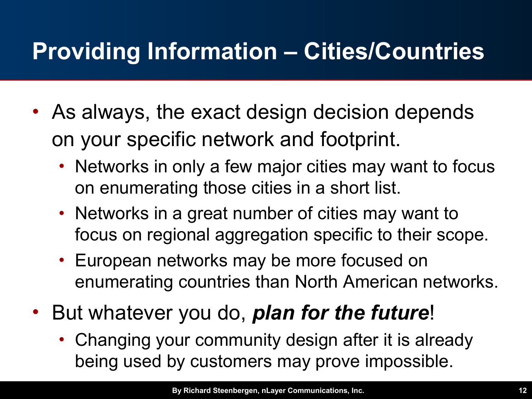# **Providing Information – Cities/Countries**

- As always, the exact design decision depends on your specific network and footprint.
	- Networks in only a few major cities may want to focus on enumerating those cities in a short list.
	- Networks in a great number of cities may want to focus on regional aggregation specific to their scope.
	- European networks may be more focused on enumerating countries than North American networks.
- But whatever you do, *plan for the future*!
	- Changing your community design after it is already being used by customers may prove impossible.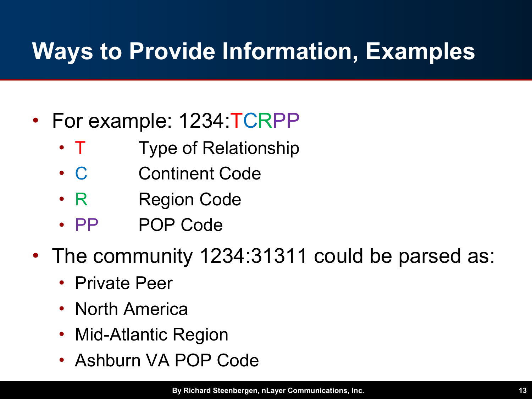# **Ways to Provide Information, Examples**

#### • For example: 1234: **TCRPP**

- T Type of Relationship
- C Continent Code
- R Region Code
- PP POP Code
- The community 1234:31311 could be parsed as:
	- Private Peer
	- North America
	- Mid-Atlantic Region
	- Ashburn VA POP Code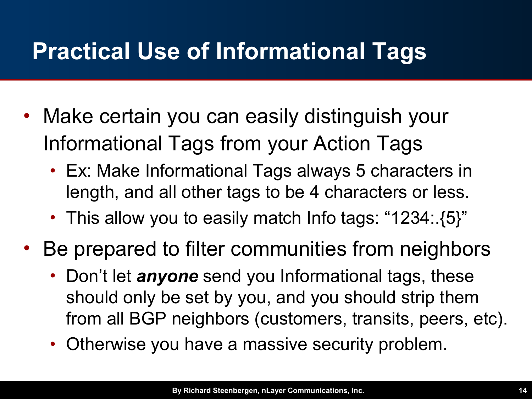# **Practical Use of Informational Tags**

- Make certain you can easily distinguish your Informational Tags from your Action Tags
	- Ex: Make Informational Tags always 5 characters in length, and all other tags to be 4 characters or less.
	- This allow you to easily match Info tags: "1234:.{5}"
- Be prepared to filter communities from neighbors
	- Don't let *anyone* send you Informational tags, these should only be set by you, and you should strip them from all BGP neighbors (customers, transits, peers, etc).
	- Otherwise you have a massive security problem.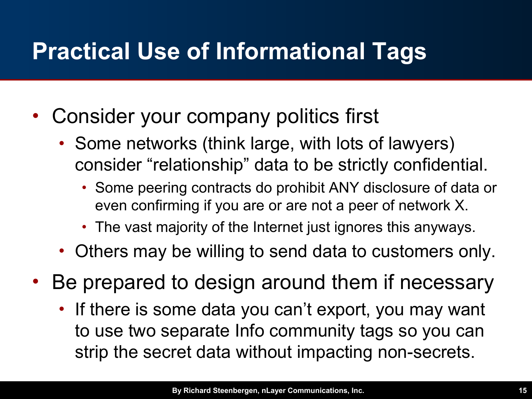# **Practical Use of Informational Tags**

- Consider your company politics first
	- Some networks (think large, with lots of lawyers) consider "relationship" data to be strictly confidential.
		- Some peering contracts do prohibit ANY disclosure of data or even confirming if you are or are not a peer of network X.
		- The vast majority of the Internet just ignores this anyways.
	- Others may be willing to send data to customers only.
- Be prepared to design around them if necessary
	- If there is some data you can't export, you may want to use two separate Info community tags so you can strip the secret data without impacting non-secrets.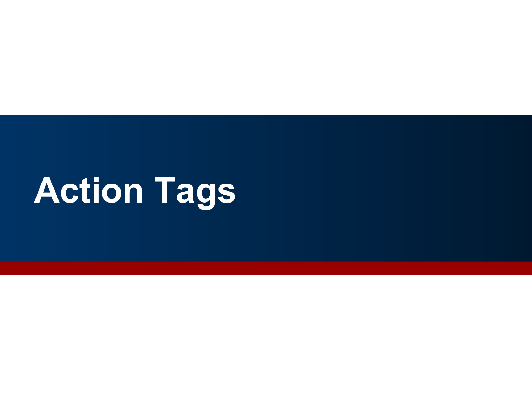# **Action Tags**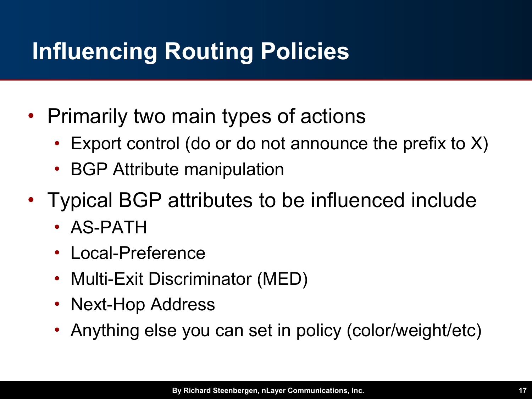# **Influencing Routing Policies**

- Primarily two main types of actions
	- Export control (do or do not announce the prefix to X)
	- **BGP Attribute manipulation**
- Typical BGP attributes to be influenced include
	- AS-PATH
	- Local-Preference
	- Multi-Exit Discriminator (MED)
	- Next-Hop Address
	- Anything else you can set in policy (color/weight/etc)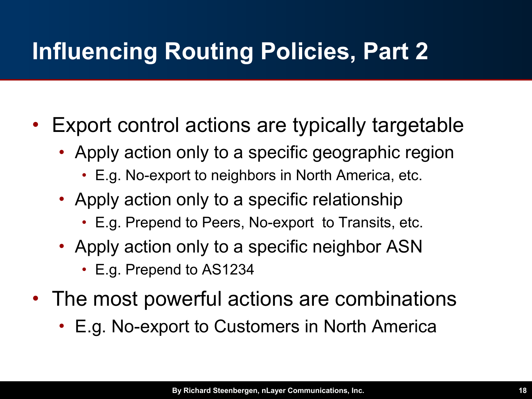# **Influencing Routing Policies, Part 2**

- Export control actions are typically targetable
	- Apply action only to a specific geographic region
		- E.g. No-export to neighbors in North America, etc.
	- Apply action only to a specific relationship
		- E.g. Prepend to Peers, No-export to Transits, etc.
	- Apply action only to a specific neighbor ASN
		- E.g. Prepend to AS1234
- The most powerful actions are combinations
	- E.g. No-export to Customers in North America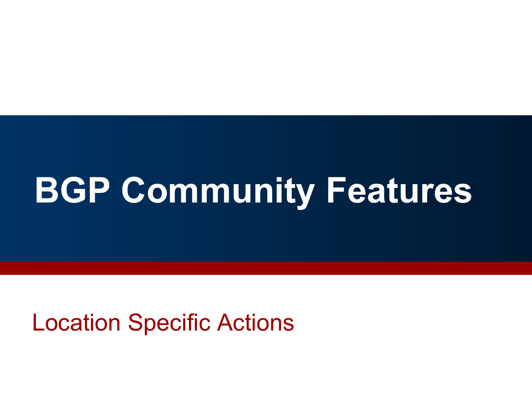# **BGP Community Features**

Location Specific Actions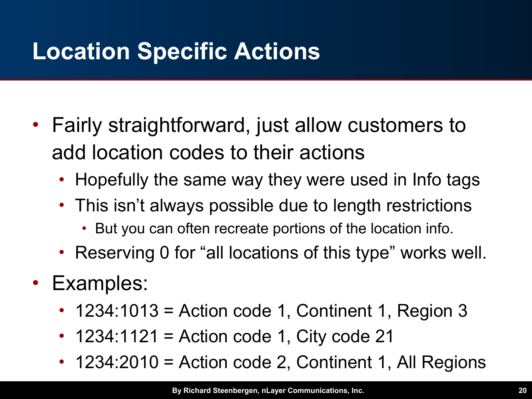# **Location Specific Actions**

- Fairly straightforward, just allow customers to add location codes to their actions
	- Hopefully the same way they were used in Info tags
	- This isn't always possible due to length restrictions
		- But you can often recreate portions of the location info.
	- Reserving 0 for "all locations of this type" works well.
- Examples:
	- 1234:1013 = Action code 1, Continent 1, Region 3
	- $\cdot$  1234:1121 = Action code 1, City code 21
	- 1234:2010 = Action code 2, Continent 1, All Regions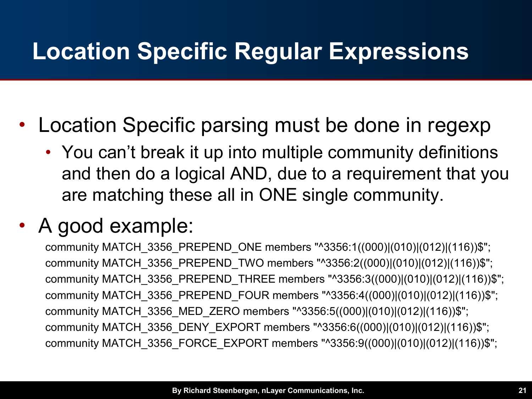# **Location Specific Regular Expressions**

- Location Specific parsing must be done in regexp
	- You can't break it up into multiple community definitions and then do a logical AND, due to a requirement that you are matching these all in ONE single community.

#### • A good example:

community MATCH\_3356\_PREPEND\_ONE members "^3356:1((000)|(010)|(012)|(116))\$"; community MATCH 3356 PREPEND TWO members "^3356:2((000)|(010)|(012)|(116))\$"; community MATCH\_3356\_PREPEND\_THREE members "^3356:3((000)|(010)|(012)|(116))\$"; community MATCH 3356 PREPEND FOUR members "^3356:4((000)|(010)|(012)|(116))\$"; community MATCH\_3356\_MED\_ZERO members "^3356:5((000)|(010)|(012)|(116))\$"; community MATCH\_3356\_DENY\_EXPORT members "^3356:6((000)|(010)|(012)|(116))\$"; community MATCH\_3356\_FORCE\_EXPORT members "^3356:9((000)|(010)|(012)|(116))\$";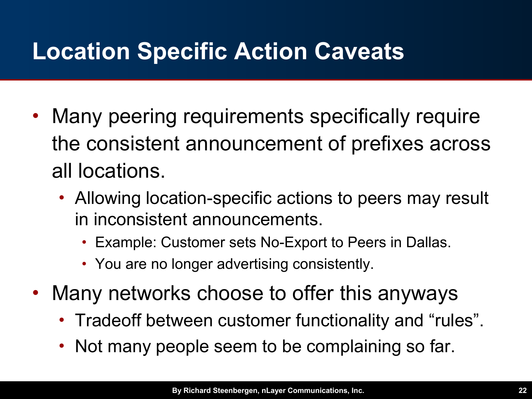# **Location Specific Action Caveats**

- Many peering requirements specifically require the consistent announcement of prefixes across all locations.
	- Allowing location-specific actions to peers may result in inconsistent announcements.
		- Example: Customer sets No-Export to Peers in Dallas.
		- You are no longer advertising consistently.
- Many networks choose to offer this anyways
	- Tradeoff between customer functionality and "rules".
	- Not many people seem to be complaining so far.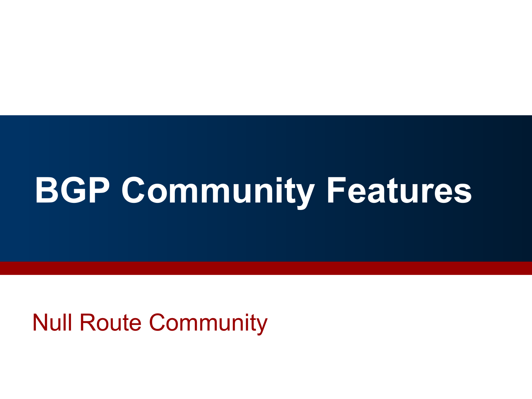# **BGP Community Features**

Null Route Community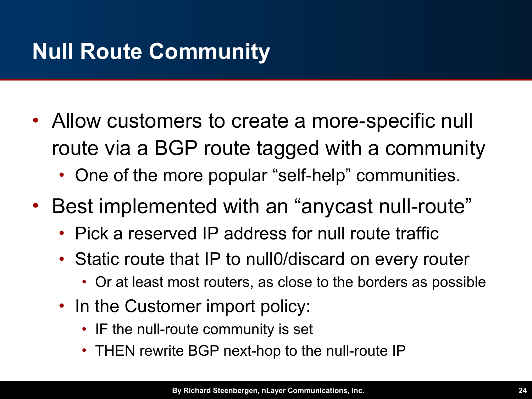# **Null Route Community**

- Allow customers to create a more-specific null route via a BGP route tagged with a community
	- One of the more popular "self-help" communities.
- Best implemented with an "anycast null-route"
	- Pick a reserved IP address for null route traffic
	- Static route that IP to null0/discard on every router
		- Or at least most routers, as close to the borders as possible
	- In the Customer import policy:
		- IF the null-route community is set
		- THEN rewrite BGP next-hop to the null-route IP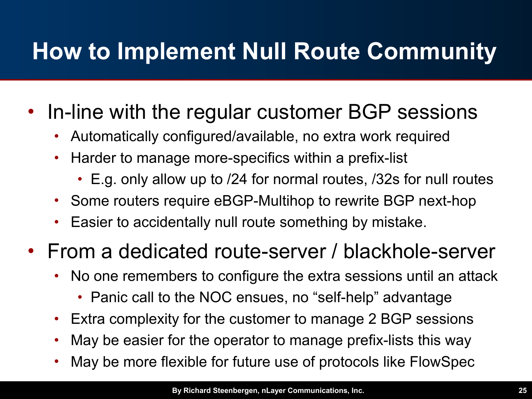# **How to Implement Null Route Community**

#### • In-line with the regular customer BGP sessions

- Automatically configured/available, no extra work required
- Harder to manage more-specifics within a prefix-list
	- E.g. only allow up to /24 for normal routes, /32s for null routes
- Some routers require eBGP-Multihop to rewrite BGP next-hop
- Easier to accidentally null route something by mistake.

#### • From a dedicated route-server / blackhole-server

- No one remembers to configure the extra sessions until an attack
	- Panic call to the NOC ensues, no "self-help" advantage
- Extra complexity for the customer to manage 2 BGP sessions
- May be easier for the operator to manage prefix-lists this way
- May be more flexible for future use of protocols like FlowSpec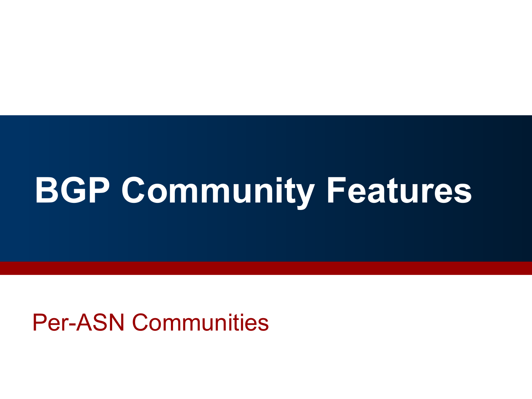# **BGP Community Features**

#### Per-ASN Communities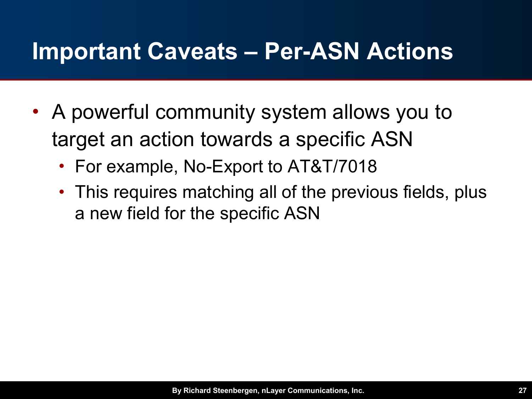### **Important Caveats – Per-ASN Actions**

- A powerful community system allows you to target an action towards a specific ASN
	- For example, No-Export to AT&T/7018
	- This requires matching all of the previous fields, plus a new field for the specific ASN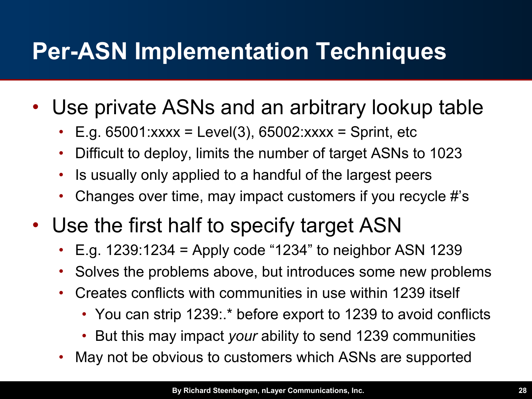# **Per-ASN Implementation Techniques**

- Use private ASNs and an arbitrary lookup table
	- E.g.  $65001:xxxx = Level(3)$ ,  $65002:xxxx = Spirit$ , etc
	- Difficult to deploy, limits the number of target ASNs to 1023
	- Is usually only applied to a handful of the largest peers
	- Changes over time, may impact customers if you recycle #'s
- Use the first half to specify target ASN
	- E.g.  $1239:1234$  = Apply code "1234" to neighbor ASN 1239
	- Solves the problems above, but introduces some new problems
	- Creates conflicts with communities in use within 1239 itself
		- You can strip 1239:.\* before export to 1239 to avoid conflicts
		- But this may impact *your* ability to send 1239 communities
	- May not be obvious to customers which ASNs are supported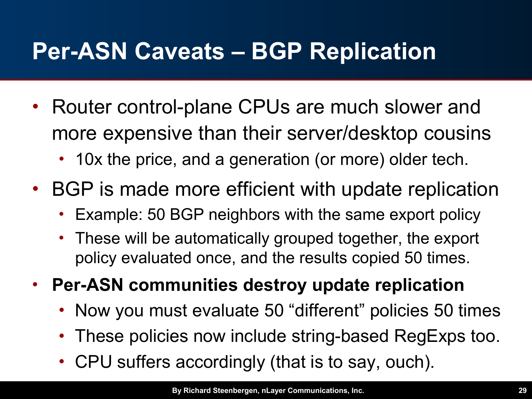# **Per-ASN Caveats – BGP Replication**

- Router control-plane CPUs are much slower and more expensive than their server/desktop cousins
	- 10x the price, and a generation (or more) older tech.
- BGP is made more efficient with update replication
	- Example: 50 BGP neighbors with the same export policy
	- These will be automatically grouped together, the export policy evaluated once, and the results copied 50 times.
- **Per-ASN communities destroy update replication**
	- Now you must evaluate 50 "different" policies 50 times
	- These policies now include string-based RegExps too.
	- CPU suffers accordingly (that is to say, ouch).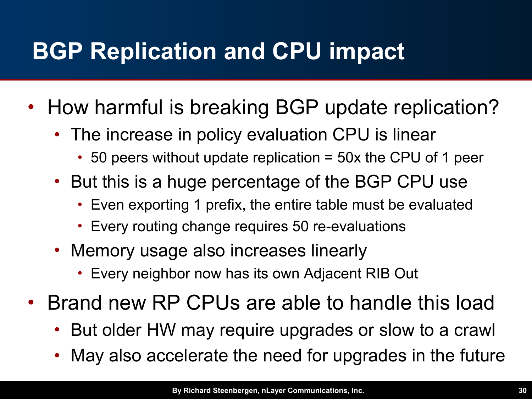# **BGP Replication and CPU impact**

- How harmful is breaking BGP update replication?
	- The increase in policy evaluation CPU is linear
		- 50 peers without update replication = 50x the CPU of 1 peer
	- But this is a huge percentage of the BGP CPU use
		- Even exporting 1 prefix, the entire table must be evaluated
		- Every routing change requires 50 re-evaluations
	- Memory usage also increases linearly
		- Every neighbor now has its own Adjacent RIB Out
- Brand new RP CPUs are able to handle this load
	- But older HW may require upgrades or slow to a crawl
	- May also accelerate the need for upgrades in the future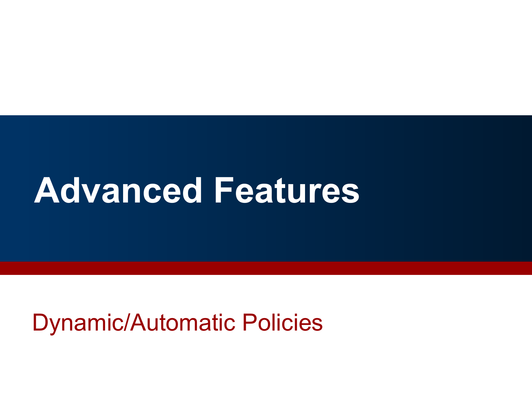# **Advanced Features**

### Dynamic/Automatic Policies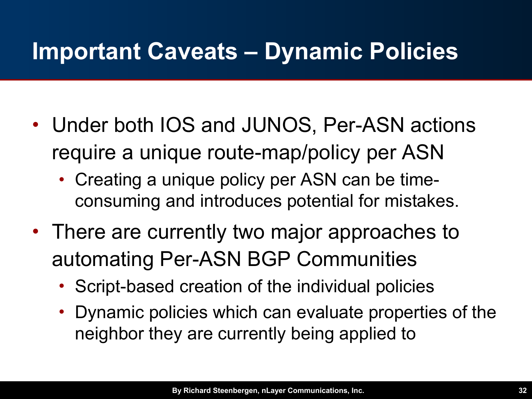## **Important Caveats – Dynamic Policies**

- Under both IOS and JUNOS, Per-ASN actions require a unique route-map/policy per ASN
	- Creating a unique policy per ASN can be timeconsuming and introduces potential for mistakes.
- There are currently two major approaches to automating Per-ASN BGP Communities
	- Script-based creation of the individual policies
	- Dynamic policies which can evaluate properties of the neighbor they are currently being applied to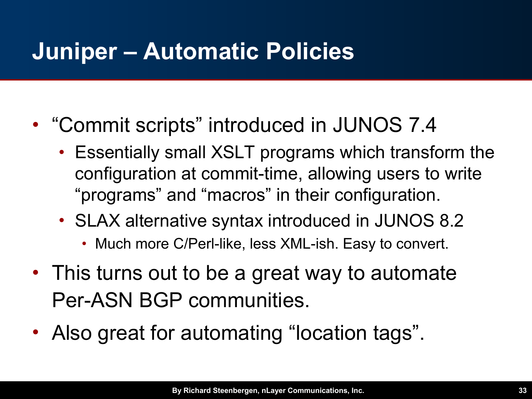# **Juniper – Automatic Policies**

- "Commit scripts" introduced in JUNOS 7.4
	- Essentially small XSLT programs which transform the configuration at commit-time, allowing users to write "programs" and "macros" in their configuration.
	- SLAX alternative syntax introduced in JUNOS 8.2
		- Much more C/Perl-like, less XML-ish. Easy to convert.
- This turns out to be a great way to automate Per-ASN BGP communities.
- Also great for automating "location tags".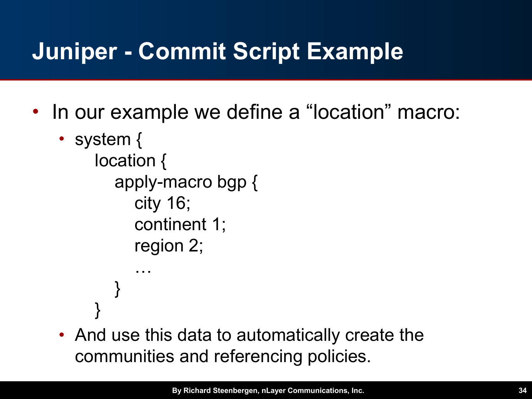# **Juniper - Commit Script Example**

- In our example we define a "location" macro:
	- system { location { apply-macro bgp { city 16; continent 1; region 2; … } }
	- And use this data to automatically create the communities and referencing policies.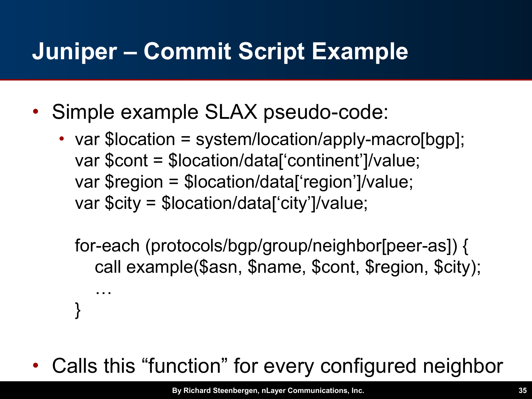# **Juniper – Commit Script Example**

• Simple example SLAX pseudo-code:

…

}

• var \$location = system/location/apply-macro[bgp]; var \$cont = \$location/data['continent']/value; var \$region = \$location/data['region']/value; var \$city = \$location/data['city']/value;

for-each (protocols/bgp/group/neighbor[peer-as]) { call example(\$asn, \$name, \$cont, \$region, \$city);

Calls this "function" for every configured neighbor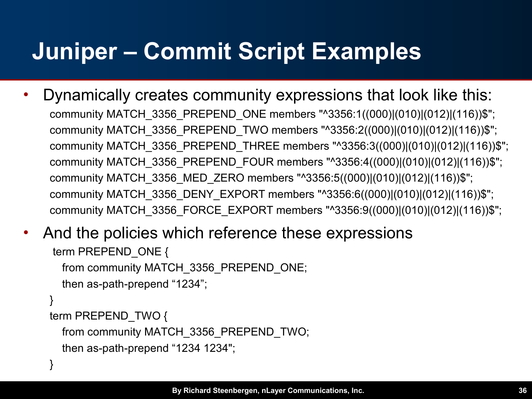# **Juniper – Commit Script Examples**

• Dynamically creates community expressions that look like this: community MATCH 3356 PREPEND ONE members "^3356:1((000)|(010)|(012)|(116))\$"; community MATCH\_3356\_PREPEND\_TWO members "^3356:2((000)|(010)|(012)|(116))\$"; community MATCH\_3356\_PREPEND\_THREE members "^3356:3((000)|(010)|(012)|(116))\$"; community MATCH\_3356\_PREPEND\_FOUR members "^3356:4((000)|(010)|(012)|(116))\$"; community MATCH\_3356\_MED\_ZERO members "^3356:5((000)|(010)|(012)|(116))\$"; community MATCH\_3356\_DENY\_EXPORT members "^3356:6((000)|(010)|(012)|(116))\$"; community MATCH\_3356\_FORCE\_EXPORT members "^3356:9((000)|(010)|(012)|(116))\$";

#### And the policies which reference these expressions

```
term PREPEND_ONE {
   from community MATCH_3356_PREPEND_ONE;
   then as-path-prepend "1234";
}
term PREPEND_TWO {
   from community MATCH_3356_PREPEND_TWO;
   then as-path-prepend "1234 1234";
```
}

…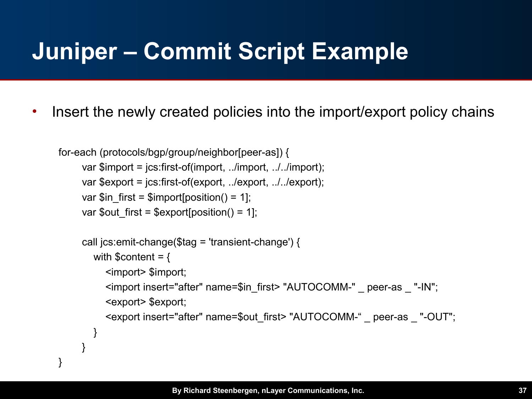# **Juniper – Commit Script Example**

• Insert the newly created policies into the import/export policy chains

```
for-each (protocols/bgp/group/neighbor[peer-as]) {
      var $import = jcs:first-of(import, ../import, ../../import);
     var $export = jcs:first-of(export, ../export, ../../export);
     var \sin first = \sin port[position() = 1];
     var $out first = $export[position() = 1];
      call jcs:emit-change($tag = 'transient-change') {
        with \text{Scontent} = \{ <import> $import;
            <import insert="after" name=$in_first> "AUTOCOMM-" _ peer-as _ "-IN"; 
            <export> $export;
            <export insert="after" name=$out_first> "AUTOCOMM-" _ peer-as _ "-OUT";
         }
  }
}
```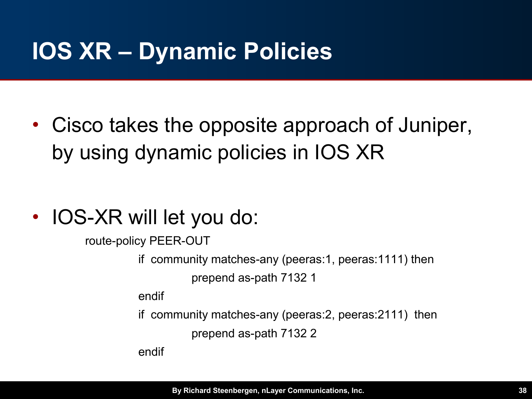# **IOS XR – Dynamic Policies**

• Cisco takes the opposite approach of Juniper, by using dynamic policies in IOS XR

• IOS-XR will let you do:

route-policy PEER-OUT

if community matches-any (peeras:1, peeras:1111) then

prepend as-path 7132 1

endif

if community matches-any (peeras:2, peeras:2111) then

prepend as-path 7132 2

endif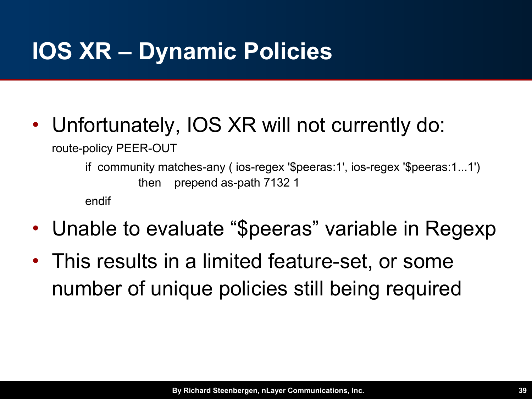# **IOS XR – Dynamic Policies**

• Unfortunately, IOS XR will not currently do:

route-policy PEER-OUT

if community matches-any ( ios-regex '\$peeras:1', ios-regex '\$peeras:1...1') then prepend as-path 7132 1

endif

- Unable to evaluate "\$peeras" variable in Regexp
- This results in a limited feature-set, or some number of unique policies still being required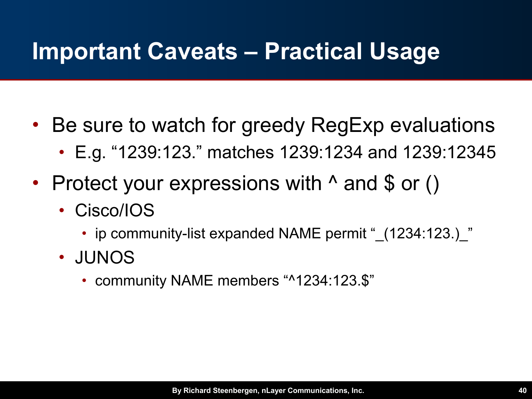## **Important Caveats – Practical Usage**

- Be sure to watch for greedy RegExp evaluations
	- E.g. "1239:123." matches 1239:1234 and 1239:12345
- Protect your expressions with  $\land$  and \$ or ()
	- Cisco/IOS
		- ip community-list expanded NAME permit " (1234:123.) "
	- JUNOS
		- community NAME members "^1234:123.\$"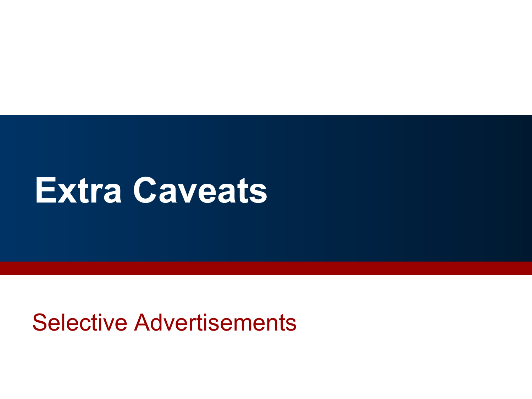# **Extra Caveats**

### Selective Advertisements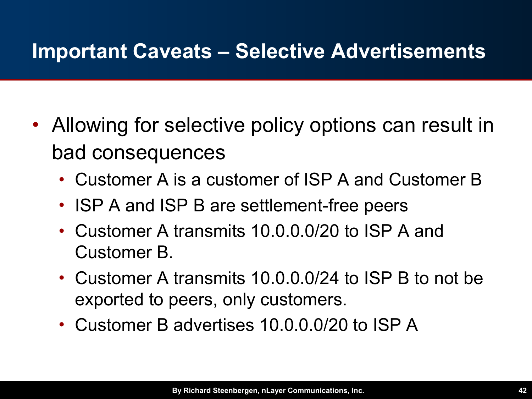#### **Important Caveats – Selective Advertisements**

- Allowing for selective policy options can result in bad consequences
	- Customer A is a customer of ISP A and Customer B
	- ISP A and ISP B are settlement-free peers
	- Customer A transmits 10.0.0.0/20 to ISP A and Customer B.
	- Customer A transmits 10.0.0.0/24 to ISP B to not be exported to peers, only customers.
	- Customer B advertises 10.0.0.0/20 to ISP A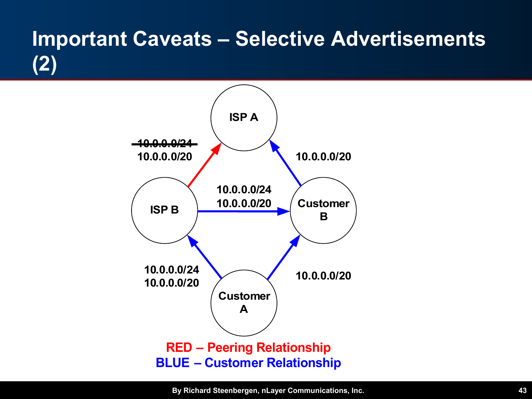### **Important Caveats – Selective Advertisements (2)**

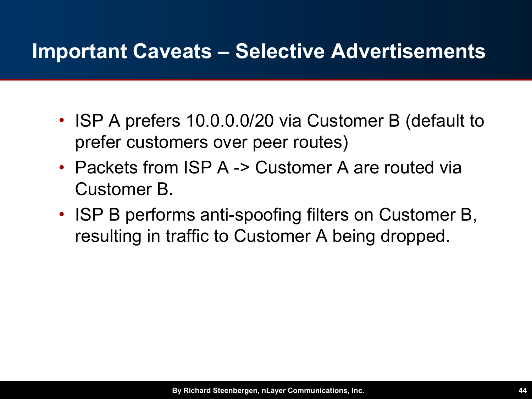#### **Important Caveats – Selective Advertisements**

- ISP A prefers 10.0.0.0/20 via Customer B (default to prefer customers over peer routes)
- Packets from ISP A -> Customer A are routed via Customer B.
- ISP B performs anti-spoofing filters on Customer B, resulting in traffic to Customer A being dropped.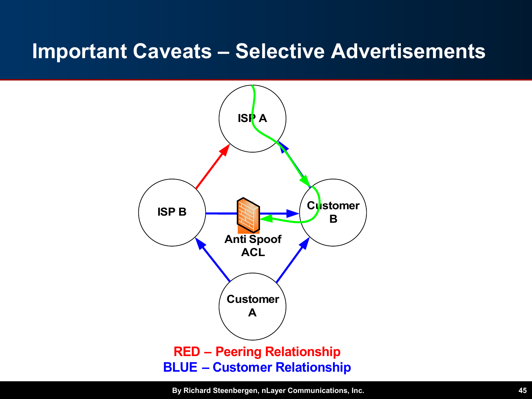#### **Important Caveats – Selective Advertisements**

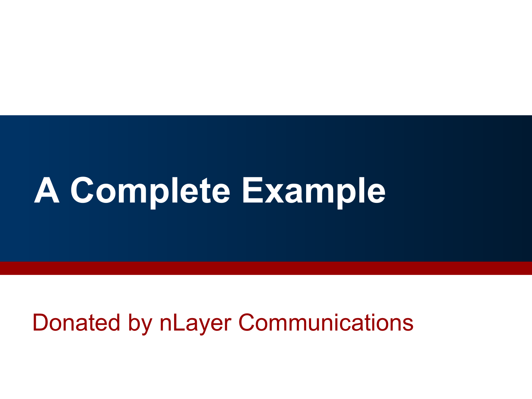# **A Complete Example**

### Donated by nLayer Communications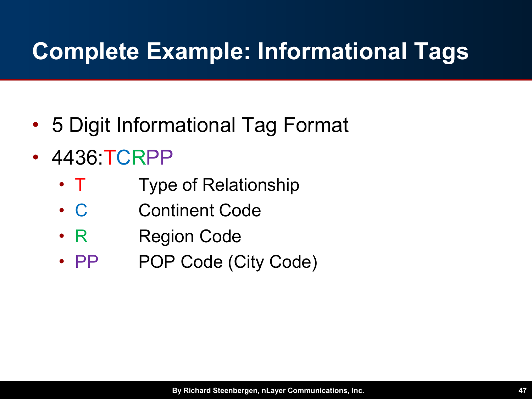- 5 Digit Informational Tag Format
- 4436 TCRPP
	- T Type of Relationship
	- C Continent Code
	- R Region Code
	- PP POP Code (City Code)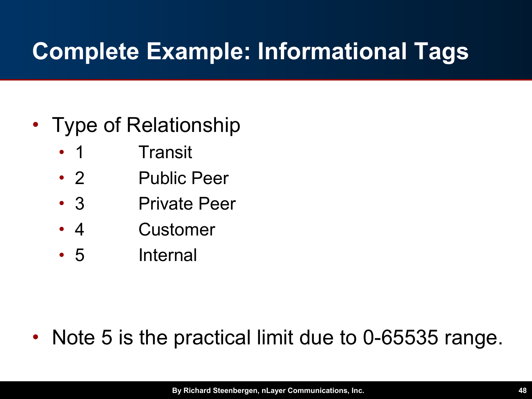#### • Type of Relationship

- 1 Transit
- 2 Public Peer
- 3 Private Peer
- 4 Customer
- 5 Internal

### • Note 5 is the practical limit due to 0-65535 range.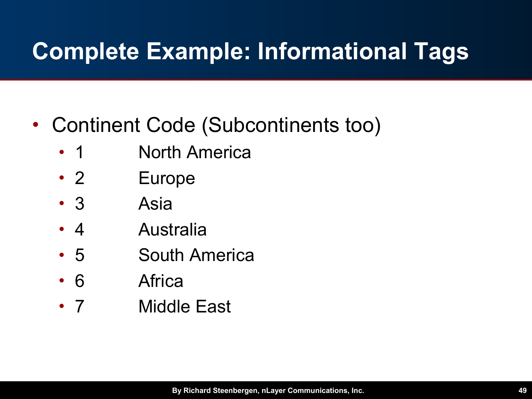- Continent Code (Subcontinents too)
	- 1 **North America**
	- 2 Europe
	- 3 Asia
	- 4 Australia
	- 5 South America
	- 6 Africa
	- 7 Middle East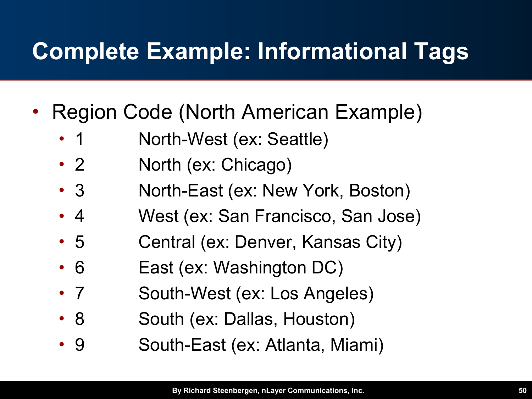- Region Code (North American Example)
	- 1 Morth-West (ex: Seattle)
	- 2 **North (ex: Chicago)**
	- 3 North-East (ex: New York, Boston)
	- 4 West (ex: San Francisco, San Jose)
	- 5 Central (ex: Denver, Kansas City)
	- 6 **East (ex: Washington DC)**
	- 7 South-West (ex: Los Angeles)
	- 8 South (ex: Dallas, Houston)
	- 9 South-East (ex: Atlanta, Miami)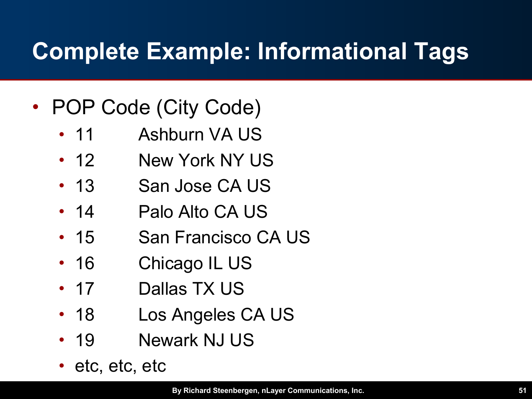- POP Code (City Code)
	- 11 Ashburn VA US
	- 12 New York NY US
	- 13 San Jose CA US
	- 14 Palo Alto CA US
	- 15 San Francisco CA US
	- 16 Chicago IL US
	- 17 Dallas TX US
	- 18 Los Angeles CA US
	- 19 Newark NJ US
	- etc, etc, etc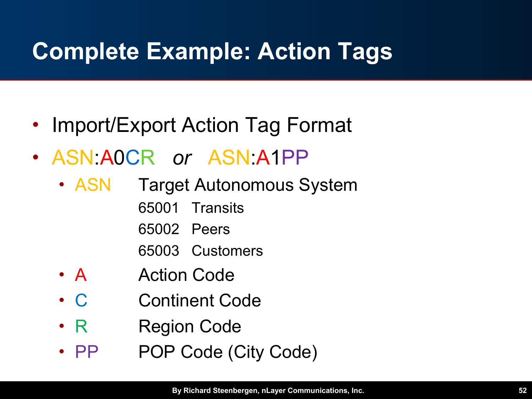- Import/Export Action Tag Format
- ASN:A0CR *or* ASN:A1PP
	- **ASN** Target Autonomous System
		- 65001 Transits
		- 65002 Peers
		- 65003 Customers
	- A Action Code
	- C Continent Code
	- R Region Code
	- PP POP Code (City Code)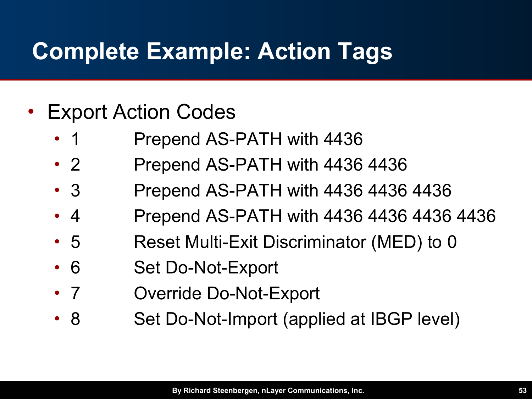- **Export Action Codes** 
	- 1 Prepend AS-PATH with 4436
	- 2 Prepend AS-PATH with 4436 4436
	- 3 Prepend AS-PATH with 4436 4436 4436
	- 4 **Prepend AS-PATH with 4436 4436 4436 4436**
	- 5 Reset Multi-Exit Discriminator (MED) to 0
	- 6 Set Do-Not-Export
	- 7 Override Do-Not-Export
	- 8 Set Do-Not-Import (applied at IBGP level)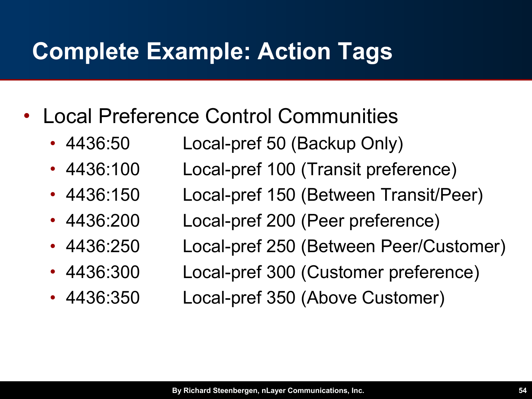- Local Preference Control Communities
	- 4436:50 Local-pref 50 (Backup Only)
	- 4436:100 Local-pref 100 (Transit preference)
	- 4436:150 Local-pref 150 (Between Transit/Peer)
	- 4436:200 Local-pref 200 (Peer preference)
	- 4436:250 Local-pref 250 (Between Peer/Customer)
	- 4436:300 Local-pref 300 (Customer preference)
	- 4436:350 Local-pref 350 (Above Customer)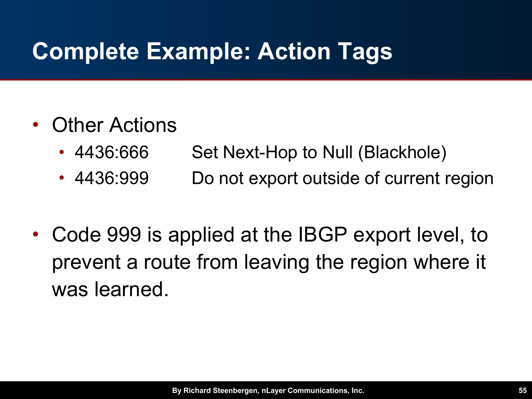#### • Other Actions

- 4436:666 Set Next-Hop to Null (Blackhole)
- 4436:999 Do not export outside of current region
- Code 999 is applied at the IBGP export level, to prevent a route from leaving the region where it was learned.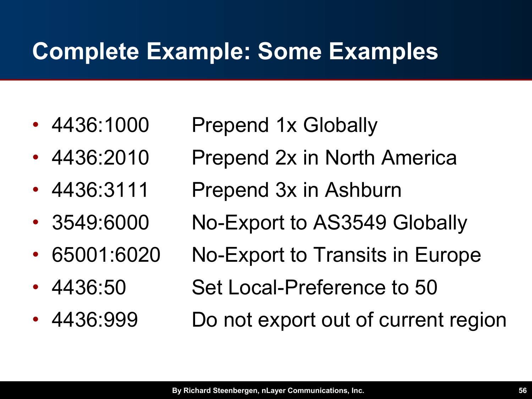# **Complete Example: Some Examples**

- 
- 
- 
- 
- 
- 
- 
- 4436:1000 Prepend 1x Globally
- 4436:2010 Prepend 2x in North America
- 4436:3111 Prepend 3x in Ashburn
- 3549:6000 No-Export to AS3549 Globally
	- 65001:6020 No-Export to Transits in Europe
- 4436:50 Set Local-Preference to 50
- 4436:999 Do not export out of current region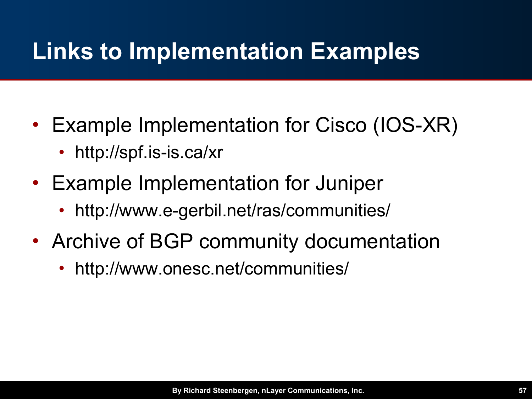# **Links to Implementation Examples**

- Example Implementation for Cisco (IOS-XR)
	- http://spf.is-is.ca/xr
- Example Implementation for Juniper
	- http://www.e-gerbil.net/ras/communities/
- Archive of BGP community documentation
	- http://www.onesc.net/communities/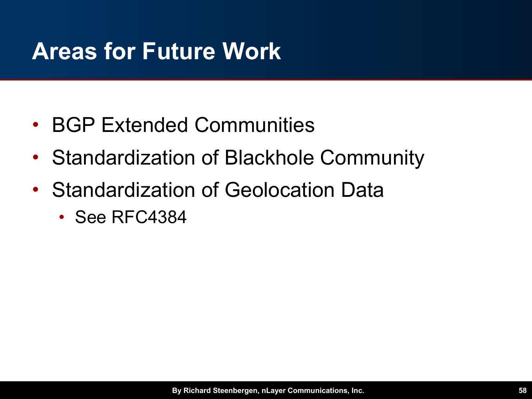# **Areas for Future Work**

- BGP Extended Communities
- Standardization of Blackhole Community
- Standardization of Geolocation Data
	- See RFC4384